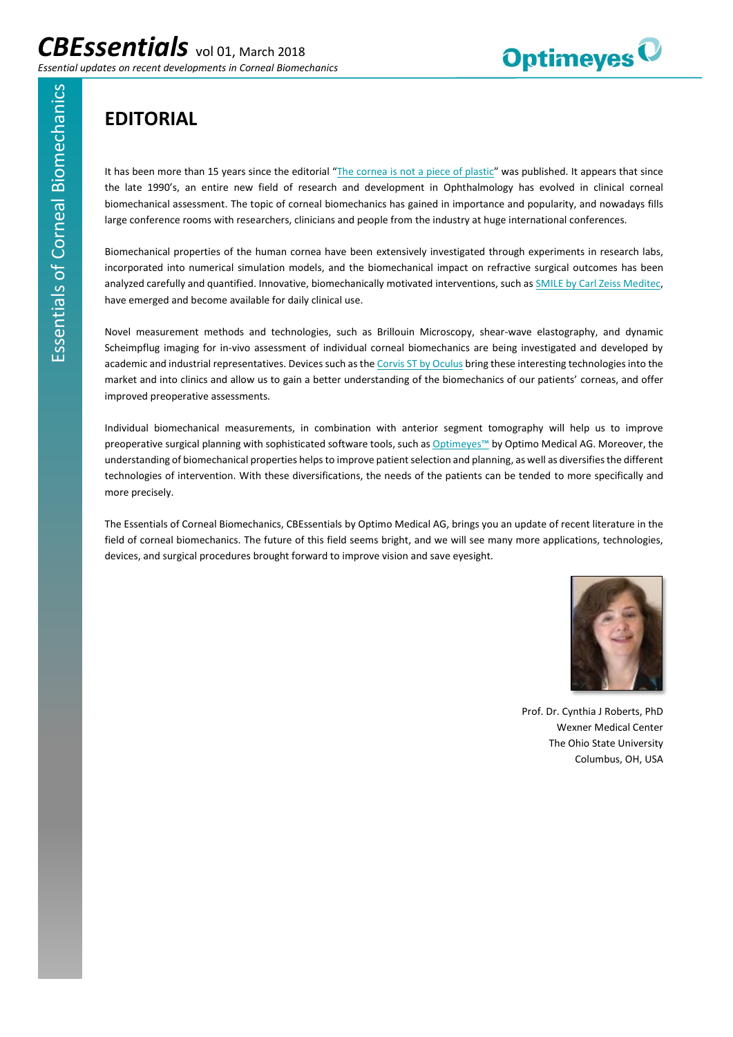

## **EDITORIAL**

It has been more than 15 years since the editorial "[The cornea is not](https://www.healio.com/ophthalmology/journals/jrs/2000-7-16-4/%7Ba6cb9bbb-d210-40f3-b5c2-109b9c781fab%7D/the-cornea-is-not-a-piece-of-plastic) a piece of plastic" was published. It appears that since the late 1990's, an entire new field of research and development in Ophthalmology has evolved in clinical corneal biomechanical assessment. The topic of corneal biomechanics has gained in importance and popularity, and nowadays fills large conference rooms with researchers, clinicians and people from the industry at huge international conferences.

Biomechanical properties of the human cornea have been extensively investigated through experiments in research labs, incorporated into numerical simulation models, and the biomechanical impact on refractive surgical outcomes has been analyzed carefully and quantified. Innovative, biomechanically motivated interventions, such a[s SMILE by Carl Zeiss Meditec,](https://www.zeiss.com/meditec/int/products/ophthalmology-optometry/cornea-refractive/laser-treatment/femtosecond-laser-solutions/relex-smile.html)  have emerged and become available for daily clinical use.

Novel measurement methods and technologies, such as Brillouin Microscopy, shear-wave elastography, and dynamic Scheimpflug imaging for in-vivo assessment of individual corneal biomechanics are being investigated and developed by academic and industrial representatives. Devices such as th[e Corvis ST by Oculus](http://www.oculus.de/en/products/tonometer/corvis-st/highlights/) bring these interesting technologies into the market and into clinics and allow us to gain a better understanding of the biomechanics of our patients' corneas, and offer improved preoperative assessments.

Individual biomechanical measurements, in combination with anterior segment tomography will help us to improve preoperative surgical planning with sophisticated software tools, such a[s Optimeyes](http://optimo-medical.ch/en/surgeons)™ by Optimo Medical AG. Moreover, the understanding of biomechanical properties helps to improve patient selection and planning, as well as diversifies the different technologies of intervention. With these diversifications, the needs of the patients can be tended to more specifically and more precisely.

The Essentials of Corneal Biomechanics, CBEssentials by Optimo Medical AG, brings you an update of recent literature in the field of corneal biomechanics. The future of this field seems bright, and we will see many more applications, technologies, devices, and surgical procedures brought forward to improve vision and save eyesight.



Prof. Dr. Cynthia J Roberts, PhD Wexner Medical Center The Ohio State University Columbus, OH, USA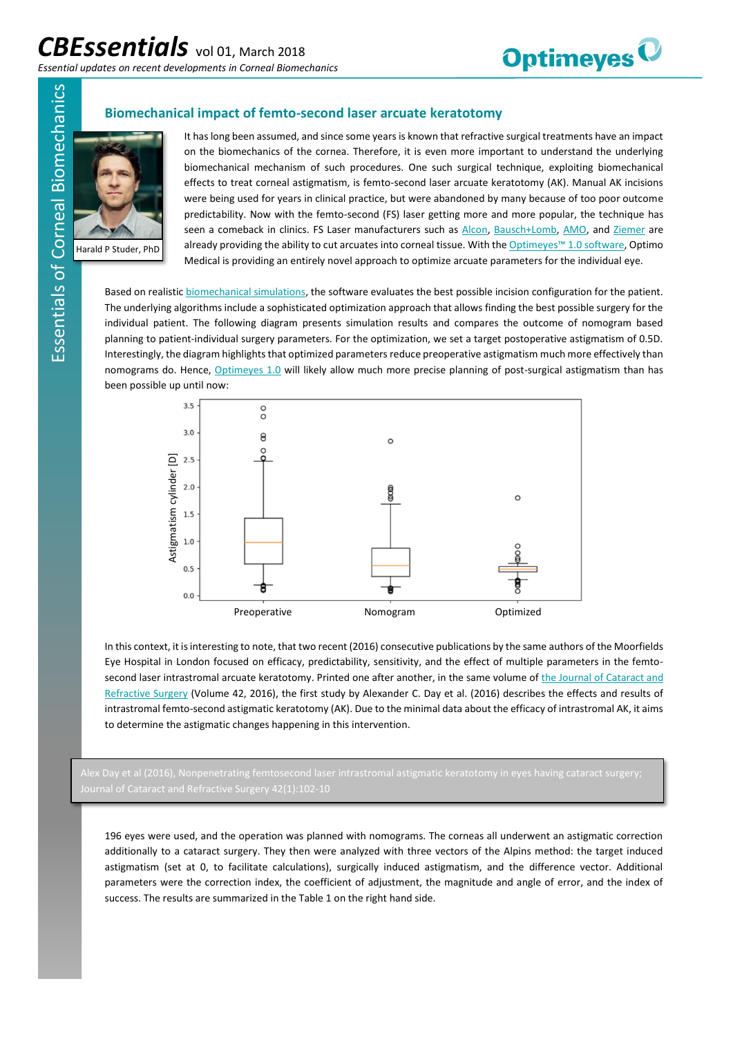

## **Biomechanical impact of femto-second laser arcuate keratotomy**



Harald P Studer, PhD

It has long been assumed, and since some years is known that refractive surgical treatments have an impact on the biomechanics of the cornea. Therefore, it is even more important to understand the underlying biomechanical mechanism of such procedures. One such surgical technique, exploiting biomechanical effects to treat corneal astigmatism, is femto-second laser arcuate keratotomy (AK). Manual AK incisions were being used for years in clinical practice, but were abandoned by many because of too poor outcome predictability. Now with the femto-second (FS) laser getting more and more popular, the technique has seen a comeback in clinics. FS Laser manufacturers such as [Alcon,](https://www.myalcon.com/products/surgical/lensx-laser/) [Bausch+Lomb,](http://www.bausch.com/ecp/our-products/laser-systems/victus-femtosecond-laser-platform) [AMO,](https://surgical.jnjvision.com/us/homepage.html) and [Ziemer](https://www.femtoldv.com/z8.html) are already providing the ability to cut arcuates into corneal tissue. With the [Optimeyes™ 1.0 software](http://www.optimo-medical.com/en/surgeons), Optimo Medical is providing an entirely novel approach to optimize arcuate parameters for the individual eye.

Based on realisti[c biomechanical simulations,](http://www.optimo-medical.com/en/innovation/biomechanics) the software evaluates the best possible incision configuration for the patient. The underlying algorithms include a sophisticated optimization approach that allows finding the best possible surgery for the individual patient. The following diagram presents simulation results and compares the outcome of nomogram based planning to patient-individual surgery parameters. For the optimization, we set a target postoperative astigmatism of 0.5D. Interestingly, the diagram highlights that optimized parameters reduce preoperative astigmatism much more effectively than nomograms do. Hence, [Optimeyes 1.0](http://www.optimo-medical.com/en/surgeons) will likely allow much more precise planning of post-surgical astigmatism than has been possible up until now:



In this context, it is interesting to note, that two recent (2016) consecutive publications by the same authors of the Moorfields Eye Hospital in London focused on efficacy, predictability, sensitivity, and the effect of multiple parameters in the femtosecond laser intrastromal arcuate keratotomy. Printed one after another, in the same volume of the Journal of Cataract and [Refractive Surgery](http://www.jcrsjournal.org/issue/S0886-3350(14)X0024-6) (Volume 42, 2016), the first study by Alexander C. Day et al. (2016) describes the effects and results of intrastromal femto-second astigmatic keratotomy (AK). Due to the minimal data about the efficacy of intrastromal AK, it aims to determine the astigmatic changes happening in this intervention.

196 eyes were used, and the operation was planned with nomograms. The corneas all underwent an astigmatic correction additionally to a cataract surgery. They then were analyzed with three vectors of the Alpins method: the target induced astigmatism (set at 0, to facilitate calculations), surgically induced astigmatism, and the difference vector. Additional parameters were the correction index, the coefficient of adjustment, the magnitude and angle of error, and the index of success. The results are summarized in the Table 1 on the right hand side.